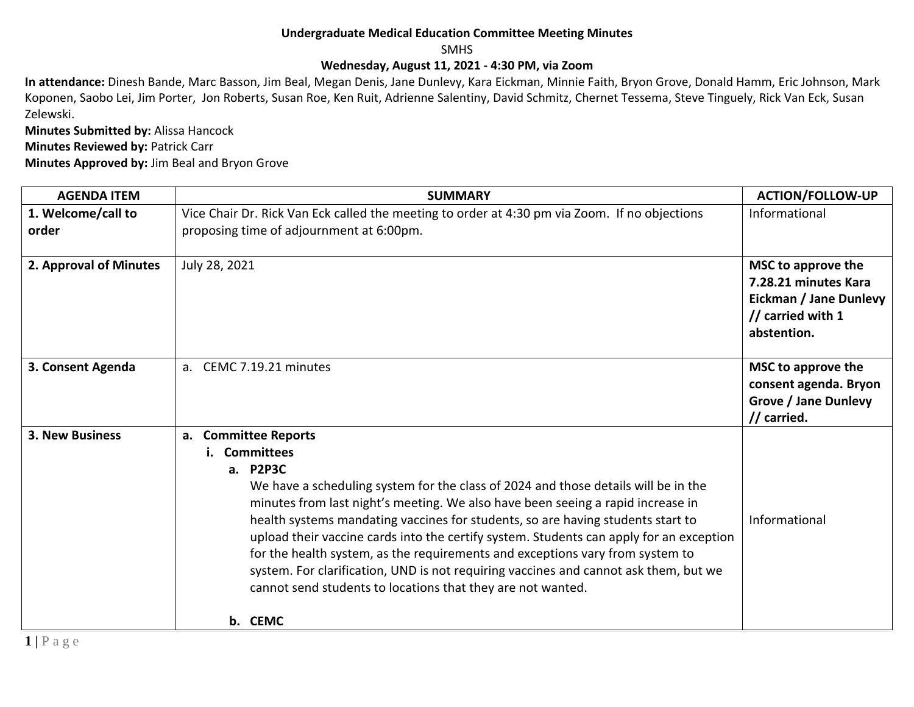## **Undergraduate Medical Education Committee Meeting Minutes**

SMHS

## **Wednesday, August 11, 2021 - 4:30 PM, via Zoom**

**In attendance:** Dinesh Bande, Marc Basson, Jim Beal, Megan Denis, Jane Dunlevy, Kara Eickman, Minnie Faith, Bryon Grove, Donald Hamm, Eric Johnson, Mark Koponen, Saobo Lei, Jim Porter, Jon Roberts, Susan Roe, Ken Ruit, Adrienne Salentiny, David Schmitz, Chernet Tessema, Steve Tinguely, Rick Van Eck, Susan Zelewski.

**Minutes Submitted by:** Alissa Hancock **Minutes Reviewed by: Patrick Carr Minutes Approved by:** Jim Beal and Bryon Grove

| <b>AGENDA ITEM</b>          | <b>SUMMARY</b>                                                                                                                                                                                                                                                                                                                                                                                                                                                                                                                                                                                                                                                            | <b>ACTION/FOLLOW-UP</b>                                                                                  |
|-----------------------------|---------------------------------------------------------------------------------------------------------------------------------------------------------------------------------------------------------------------------------------------------------------------------------------------------------------------------------------------------------------------------------------------------------------------------------------------------------------------------------------------------------------------------------------------------------------------------------------------------------------------------------------------------------------------------|----------------------------------------------------------------------------------------------------------|
| 1. Welcome/call to<br>order | Vice Chair Dr. Rick Van Eck called the meeting to order at 4:30 pm via Zoom. If no objections<br>proposing time of adjournment at 6:00pm.                                                                                                                                                                                                                                                                                                                                                                                                                                                                                                                                 | Informational                                                                                            |
| 2. Approval of Minutes      | July 28, 2021                                                                                                                                                                                                                                                                                                                                                                                                                                                                                                                                                                                                                                                             | MSC to approve the<br>7.28.21 minutes Kara<br>Eickman / Jane Dunlevy<br>// carried with 1<br>abstention. |
| 3. Consent Agenda           | a. CEMC 7.19.21 minutes                                                                                                                                                                                                                                                                                                                                                                                                                                                                                                                                                                                                                                                   | MSC to approve the<br>consent agenda. Bryon<br><b>Grove / Jane Dunlevy</b><br>// carried.                |
| <b>3. New Business</b>      | <b>Committee Reports</b><br>а.<br><b>Committees</b><br>a. P2P3C<br>We have a scheduling system for the class of 2024 and those details will be in the<br>minutes from last night's meeting. We also have been seeing a rapid increase in<br>health systems mandating vaccines for students, so are having students start to<br>upload their vaccine cards into the certify system. Students can apply for an exception<br>for the health system, as the requirements and exceptions vary from system to<br>system. For clarification, UND is not requiring vaccines and cannot ask them, but we<br>cannot send students to locations that they are not wanted.<br>b. CEMC | Informational                                                                                            |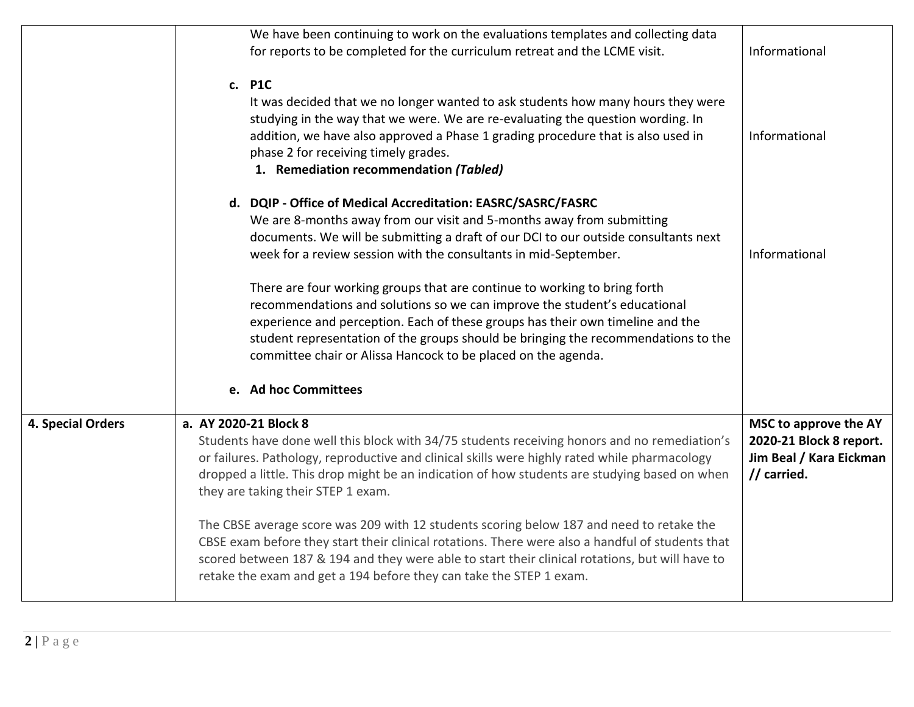|                   | We have been continuing to work on the evaluations templates and collecting data<br>for reports to be completed for the curriculum retreat and the LCME visit.                                                                                                                                                                                                                                  | Informational                                                                              |
|-------------------|-------------------------------------------------------------------------------------------------------------------------------------------------------------------------------------------------------------------------------------------------------------------------------------------------------------------------------------------------------------------------------------------------|--------------------------------------------------------------------------------------------|
|                   | c. P1C<br>It was decided that we no longer wanted to ask students how many hours they were<br>studying in the way that we were. We are re-evaluating the question wording. In<br>addition, we have also approved a Phase 1 grading procedure that is also used in<br>phase 2 for receiving timely grades.<br>1. Remediation recommendation (Tabled)                                             | Informational                                                                              |
|                   | d. DQIP - Office of Medical Accreditation: EASRC/SASRC/FASRC<br>We are 8-months away from our visit and 5-months away from submitting<br>documents. We will be submitting a draft of our DCI to our outside consultants next<br>week for a review session with the consultants in mid-September.                                                                                                | Informational                                                                              |
|                   | There are four working groups that are continue to working to bring forth<br>recommendations and solutions so we can improve the student's educational<br>experience and perception. Each of these groups has their own timeline and the<br>student representation of the groups should be bringing the recommendations to the<br>committee chair or Alissa Hancock to be placed on the agenda. |                                                                                            |
|                   | e. Ad hoc Committees                                                                                                                                                                                                                                                                                                                                                                            |                                                                                            |
| 4. Special Orders | a. AY 2020-21 Block 8<br>Students have done well this block with 34/75 students receiving honors and no remediation's<br>or failures. Pathology, reproductive and clinical skills were highly rated while pharmacology<br>dropped a little. This drop might be an indication of how students are studying based on when<br>they are taking their STEP 1 exam.                                   | MSC to approve the AY<br>2020-21 Block 8 report.<br>Jim Beal / Kara Eickman<br>// carried. |
|                   | The CBSE average score was 209 with 12 students scoring below 187 and need to retake the<br>CBSE exam before they start their clinical rotations. There were also a handful of students that<br>scored between 187 & 194 and they were able to start their clinical rotations, but will have to<br>retake the exam and get a 194 before they can take the STEP 1 exam.                          |                                                                                            |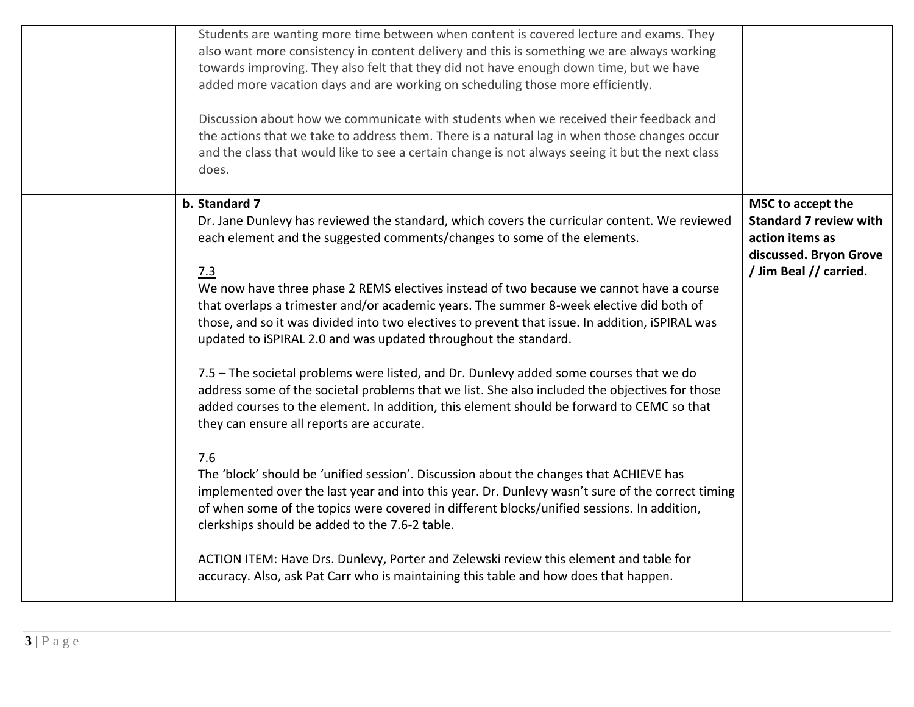| Students are wanting more time between when content is covered lecture and exams. They<br>also want more consistency in content delivery and this is something we are always working<br>towards improving. They also felt that they did not have enough down time, but we have<br>added more vacation days and are working on scheduling those more efficiently.<br>Discussion about how we communicate with students when we received their feedback and<br>the actions that we take to address them. There is a natural lag in when those changes occur<br>and the class that would like to see a certain change is not always seeing it but the next class<br>does.                                                                                                                                                                                                                                                                                                                                                                                                                                                                                                                                                                                                                                                                                                                                                                   |                                                                                                                           |
|------------------------------------------------------------------------------------------------------------------------------------------------------------------------------------------------------------------------------------------------------------------------------------------------------------------------------------------------------------------------------------------------------------------------------------------------------------------------------------------------------------------------------------------------------------------------------------------------------------------------------------------------------------------------------------------------------------------------------------------------------------------------------------------------------------------------------------------------------------------------------------------------------------------------------------------------------------------------------------------------------------------------------------------------------------------------------------------------------------------------------------------------------------------------------------------------------------------------------------------------------------------------------------------------------------------------------------------------------------------------------------------------------------------------------------------|---------------------------------------------------------------------------------------------------------------------------|
| b. Standard 7<br>Dr. Jane Dunlevy has reviewed the standard, which covers the curricular content. We reviewed<br>each element and the suggested comments/changes to some of the elements.<br>7.3<br>We now have three phase 2 REMS electives instead of two because we cannot have a course<br>that overlaps a trimester and/or academic years. The summer 8-week elective did both of<br>those, and so it was divided into two electives to prevent that issue. In addition, iSPIRAL was<br>updated to iSPIRAL 2.0 and was updated throughout the standard.<br>7.5 - The societal problems were listed, and Dr. Dunlevy added some courses that we do<br>address some of the societal problems that we list. She also included the objectives for those<br>added courses to the element. In addition, this element should be forward to CEMC so that<br>they can ensure all reports are accurate.<br>7.6<br>The 'block' should be 'unified session'. Discussion about the changes that ACHIEVE has<br>implemented over the last year and into this year. Dr. Dunlevy wasn't sure of the correct timing<br>of when some of the topics were covered in different blocks/unified sessions. In addition,<br>clerkships should be added to the 7.6-2 table.<br>ACTION ITEM: Have Drs. Dunlevy, Porter and Zelewski review this element and table for<br>accuracy. Also, ask Pat Carr who is maintaining this table and how does that happen. | MSC to accept the<br><b>Standard 7 review with</b><br>action items as<br>discussed. Bryon Grove<br>/ Jim Beal // carried. |